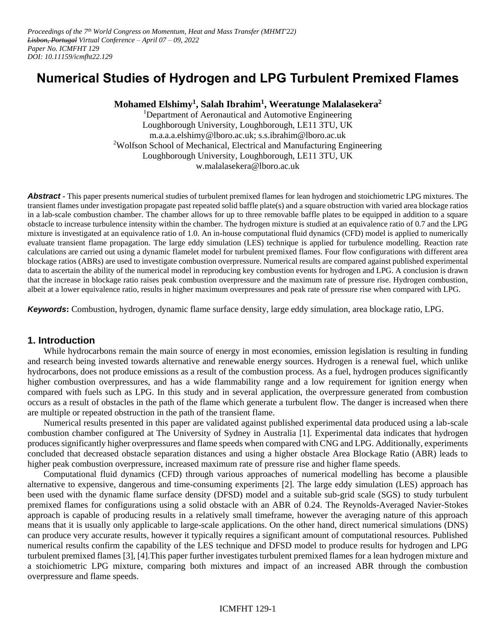# **Numerical Studies of Hydrogen and LPG Turbulent Premixed Flames**

## **Mohamed Elshimy<sup>1</sup> , Salah Ibrahim<sup>1</sup> , Weeratunge Malalasekera<sup>2</sup>**

<sup>1</sup>Department of Aeronautical and Automotive Engineering Loughborough University, Loughborough, LE11 3TU, UK m.a.a.a.elshimy@lboro.ac.uk; s.s.ibrahim@lboro.ac.uk <sup>2</sup>Wolfson School of Mechanical, Electrical and Manufacturing Engineering Loughborough University, Loughborough, LE11 3TU, UK w.malalasekera@lboro.ac.uk

*Abstract* **-** This paper presents numerical studies of turbulent premixed flames for lean hydrogen and stoichiometric LPG mixtures. The transient flames under investigation propagate past repeated solid baffle plate(s) and a square obstruction with varied area blockage ratios in a lab-scale combustion chamber. The chamber allows for up to three removable baffle plates to be equipped in addition to a square obstacle to increase turbulence intensity within the chamber. The hydrogen mixture is studied at an equivalence ratio of 0.7 and the LPG mixture is investigated at an equivalence ratio of 1.0. An in-house computational fluid dynamics (CFD) model is applied to numerically evaluate transient flame propagation. The large eddy simulation (LES) technique is applied for turbulence modelling. Reaction rate calculations are carried out using a dynamic flamelet model for turbulent premixed flames. Four flow configurations with different area blockage ratios (ABRs) are used to investigate combustion overpressure. Numerical results are compared against published experimental data to ascertain the ability of the numerical model in reproducing key combustion events for hydrogen and LPG. A conclusion is drawn that the increase in blockage ratio raises peak combustion overpressure and the maximum rate of pressure rise. Hydrogen combustion, albeit at a lower equivalence ratio, results in higher maximum overpressures and peak rate of pressure rise when compared with LPG.

*Keywords***:** Combustion, hydrogen, dynamic flame surface density, large eddy simulation, area blockage ratio, LPG.

## **1. Introduction**

While hydrocarbons remain the main source of energy in most economies, emission legislation is resulting in funding and research being invested towards alternative and renewable energy sources. Hydrogen is a renewal fuel, which unlike hydrocarbons, does not produce emissions as a result of the combustion process. As a fuel, hydrogen produces significantly higher combustion overpressures, and has a wide flammability range and a low requirement for ignition energy when compared with fuels such as LPG. In this study and in several application, the overpressure generated from combustion occurs as a result of obstacles in the path of the flame which generate a turbulent flow. The danger is increased when there are multiple or repeated obstruction in the path of the transient flame.

Numerical results presented in this paper are validated against published experimental data produced using a lab-scale combustion chamber configured at The University of Sydney in Australia [1]. Experimental data indicates that hydrogen produces significantly higher overpressures and flame speeds when compared with CNG and LPG. Additionally, experiments concluded that decreased obstacle separation distances and using a higher obstacle Area Blockage Ratio (ABR) leads to higher peak combustion overpressure, increased maximum rate of pressure rise and higher flame speeds.

Computational fluid dynamics (CFD) through various approaches of numerical modelling has become a plausible alternative to expensive, dangerous and time-consuming experiments [2]. The large eddy simulation (LES) approach has been used with the dynamic flame surface density (DFSD) model and a suitable sub-grid scale (SGS) to study turbulent premixed flames for configurations using a solid obstacle with an ABR of 0.24. The Reynolds-Averaged Navier-Stokes approach is capable of producing results in a relatively small timeframe, however the averaging nature of this approach means that it is usually only applicable to large-scale applications. On the other hand, direct numerical simulations (DNS) can produce very accurate results, however it typically requires a significant amount of computational resources. Published numerical results confirm the capability of the LES technique and DFSD model to produce results for hydrogen and LPG turbulent premixed flames [3], [4].This paper further investigates turbulent premixed flames for a lean hydrogen mixture and a stoichiometric LPG mixture, comparing both mixtures and impact of an increased ABR through the combustion overpressure and flame speeds.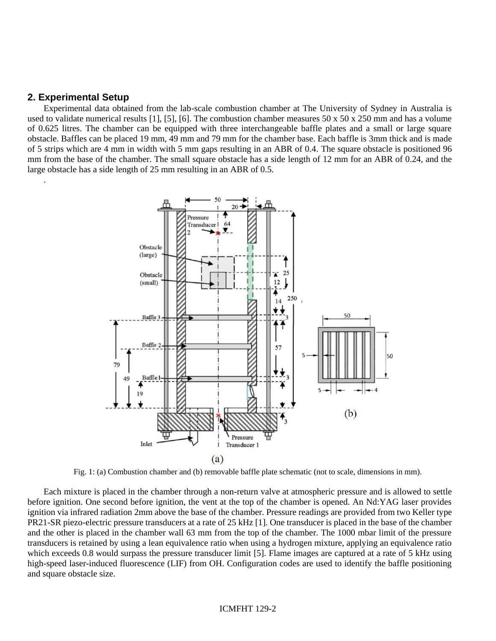#### **2. Experimental Setup**

.

Experimental data obtained from the lab-scale combustion chamber at The University of Sydney in Australia is used to validate numerical results [1], [5], [6]. The combustion chamber measures  $50 \times 50 \times 250$  mm and has a volume of 0.625 litres. The chamber can be equipped with three interchangeable baffle plates and a small or large square obstacle. Baffles can be placed 19 mm, 49 mm and 79 mm for the chamber base. Each baffle is 3mm thick and is made of 5 strips which are 4 mm in width with 5 mm gaps resulting in an ABR of 0.4. The square obstacle is positioned 96 mm from the base of the chamber. The small square obstacle has a side length of 12 mm for an ABR of 0.24, and the large obstacle has a side length of 25 mm resulting in an ABR of 0.5.



Fig. 1: (a) Combustion chamber and (b) removable baffle plate schematic (not to scale, dimensions in mm).

Each mixture is placed in the chamber through a non-return valve at atmospheric pressure and is allowed to settle before ignition. One second before ignition, the vent at the top of the chamber is opened. An Nd:YAG laser provides ignition via infrared radiation 2mm above the base of the chamber. Pressure readings are provided from two Keller type PR21-SR piezo-electric pressure transducers at a rate of 25 kHz [1]. One transducer is placed in the base of the chamber and the other is placed in the chamber wall 63 mm from the top of the chamber. The 1000 mbar limit of the pressure transducers is retained by using a lean equivalence ratio when using a hydrogen mixture, applying an equivalence ratio which exceeds 0.8 would surpass the pressure transducer limit [5]. Flame images are captured at a rate of 5 kHz using high-speed laser-induced fluorescence (LIF) from OH. Configuration codes are used to identify the baffle positioning and square obstacle size.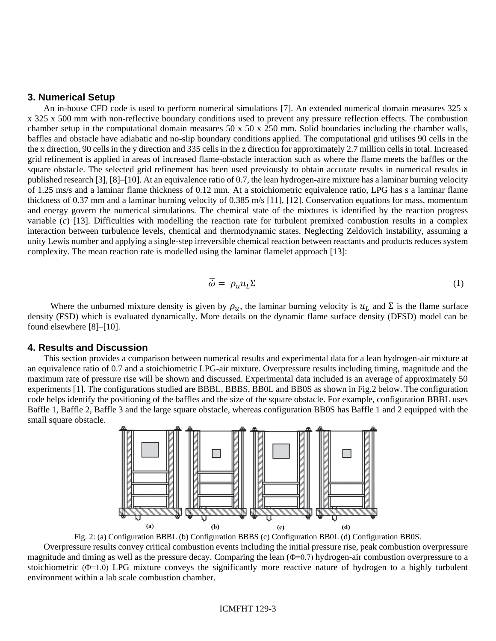#### **3. Numerical Setup**

An in-house CFD code is used to perform numerical simulations [7]. An extended numerical domain measures 325 x x 325 x 500 mm with non-reflective boundary conditions used to prevent any pressure reflection effects. The combustion chamber setup in the computational domain measures  $50 \times 50 \times 250$  mm. Solid boundaries including the chamber walls, baffles and obstacle have adiabatic and no-slip boundary conditions applied. The computational grid utilises 90 cells in the the x direction, 90 cells in the y direction and 335 cells in the z direction for approximately 2.7 million cells in total. Increased grid refinement is applied in areas of increased flame-obstacle interaction such as where the flame meets the baffles or the square obstacle. The selected grid refinement has been used previously to obtain accurate results in numerical results in published research [3], [8]–[10]. At an equivalence ratio of 0.7, the lean hydrogen-aire mixture has a laminar burning velocity of 1.25 ms/s and a laminar flame thickness of 0.12 mm. At a stoichiometric equivalence ratio, LPG has s a laminar flame thickness of 0.37 mm and a laminar burning velocity of 0.385 m/s [11], [12]. Conservation equations for mass, momentum and energy govern the numerical simulations. The chemical state of the mixtures is identified by the reaction progress variable (*c*) [13]. Difficulties with modelling the reaction rate for turbulent premixed combustion results in a complex interaction between turbulence levels, chemical and thermodynamic states. Neglecting Zeldovich instability, assuming a unity Lewis number and applying a single-step irreversible chemical reaction between reactants and products reduces system complexity. The mean reaction rate is modelled using the laminar flamelet approach [13]:

$$
\overline{\dot{\omega}} = \rho_u u_L \Sigma \tag{1}
$$

Where the unburned mixture density is given by  $\rho_u$ , the laminar burning velocity is  $u_L$  and  $\Sigma$  is the flame surface density (FSD) which is evaluated dynamically. More details on the dynamic flame surface density (DFSD) model can be found elsewhere [8]–[10].

### **4. Results and Discussion**

This section provides a comparison between numerical results and experimental data for a lean hydrogen-air mixture at an equivalence ratio of 0.7 and a stoichiometric LPG-air mixture. Overpressure results including timing, magnitude and the maximum rate of pressure rise will be shown and discussed. Experimental data included is an average of approximately 50 experiments [1]. The configurations studied are BBBL, BBBS, BB0L and BB0S as shown in Fig.2 below. The configuration code helps identify the positioning of the baffles and the size of the square obstacle. For example, configuration BBBL uses Baffle 1, Baffle 2, Baffle 3 and the large square obstacle, whereas configuration BB0S has Baffle 1 and 2 equipped with the small square obstacle.



Fig. 2: (a) Configuration BBBL (b) Configuration BBBS (c) Configuration BB0L (d) Configuration BB0S.

Overpressure results convey critical combustion events including the initial pressure rise, peak combustion overpressure magnitude and timing as well as the pressure decay. Comparing the lean (Ф=0.7) hydrogen-air combustion overpressure to a stoichiometric  $(\Phi=1.0)$  LPG mixture conveys the significantly more reactive nature of hydrogen to a highly turbulent environment within a lab scale combustion chamber.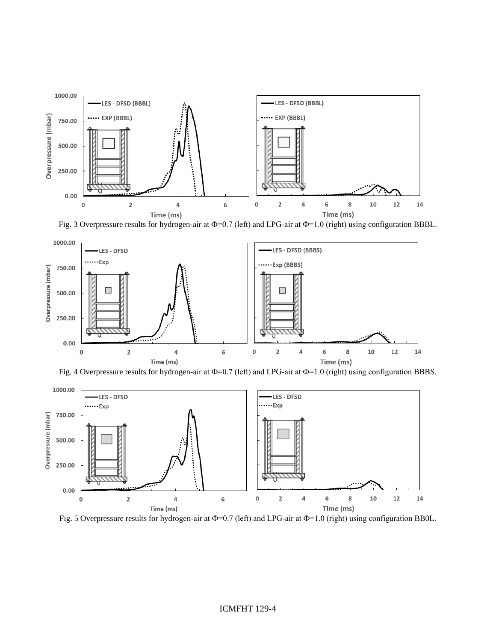

Fig. 3 Overpressure results for hydrogen-air at  $\Phi$ =0.7 (left) and LPG-air at  $\Phi$ =1.0 (right) using configuration BBBL.







Fig. 5 Overpressure results for hydrogen-air at  $\Phi$ =0.7 (left) and LPG-air at  $\Phi$ =1.0 (right) using configuration BB0L.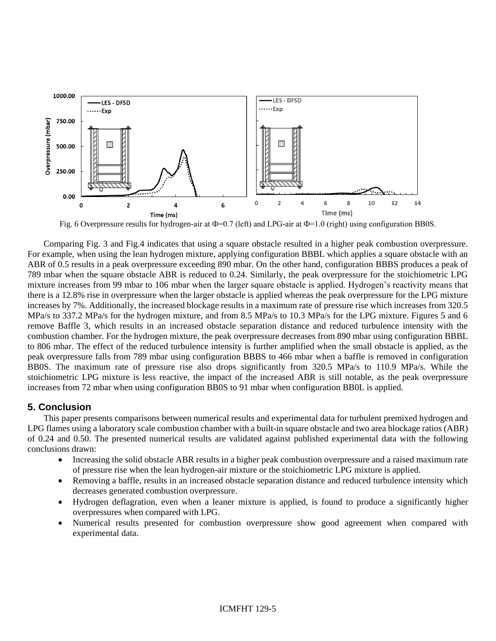

Fig. 6 Overpressure results for hydrogen-air at  $\Phi$ =0.7 (left) and LPG-air at  $\Phi$ =1.0 (right) using configuration BB0S.

Comparing Fig. 3 and Fig.4 indicates that using a square obstacle resulted in a higher peak combustion overpressure. For example, when using the lean hydrogen mixture, applying configuration BBBL which applies a square obstacle with an ABR of 0.5 results in a peak overpressure exceeding 890 mbar. On the other hand, configuration BBBS produces a peak of 789 mbar when the square obstacle ABR is reduced to 0.24. Similarly, the peak overpressure for the stoichiometric LPG mixture increases from 99 mbar to 106 mbar when the larger square obstacle is applied. Hydrogen's reactivity means that there is a 12.8% rise in overpressure when the larger obstacle is applied whereas the peak overpressure for the LPG mixture increases by 7%. Additionally, the increased blockage results in a maximum rate of pressure rise which increases from 320.5 MPa/s to 337.2 MPa/s for the hydrogen mixture, and from 8.5 MPa/s to 10.3 MPa/s for the LPG mixture. Figures 5 and 6 remove Baffle 3, which results in an increased obstacle separation distance and reduced turbulence intensity with the combustion chamber. For the hydrogen mixture, the peak overpressure decreases from 890 mbar using configuration BBBL to 806 mbar. The effect of the reduced turbulence intensity is further amplified when the small obstacle is applied, as the peak overpressure falls from 789 mbar using configuration BBBS to 466 mbar when a baffle is removed in configuration BB0S. The maximum rate of pressure rise also drops significantly from 320.5 MPa/s to 110.9 MPa/s. While the stoichiometric LPG mixture is less reactive, the impact of the increased ABR is still notable, as the peak overpressure increases from 72 mbar when using configuration BB0S to 91 mbar when configuration BB0L is applied.

## **5. Conclusion**

This paper presents comparisons between numerical results and experimental data for turbulent premixed hydrogen and LPG flames using a laboratory scale combustion chamber with a built-in square obstacle and two area blockage ratios (ABR) of 0.24 and 0.50. The presented numerical results are validated against published experimental data with the following conclusions drawn:

- Increasing the solid obstacle ABR results in a higher peak combustion overpressure and a raised maximum rate of pressure rise when the lean hydrogen-air mixture or the stoichiometric LPG mixture is applied.
- Removing a baffle, results in an increased obstacle separation distance and reduced turbulence intensity which decreases generated combustion overpressure.
- Hydrogen deflagration, even when a leaner mixture is applied, is found to produce a significantly higher overpressures when compared with LPG.
- Numerical results presented for combustion overpressure show good agreement when compared with experimental data.